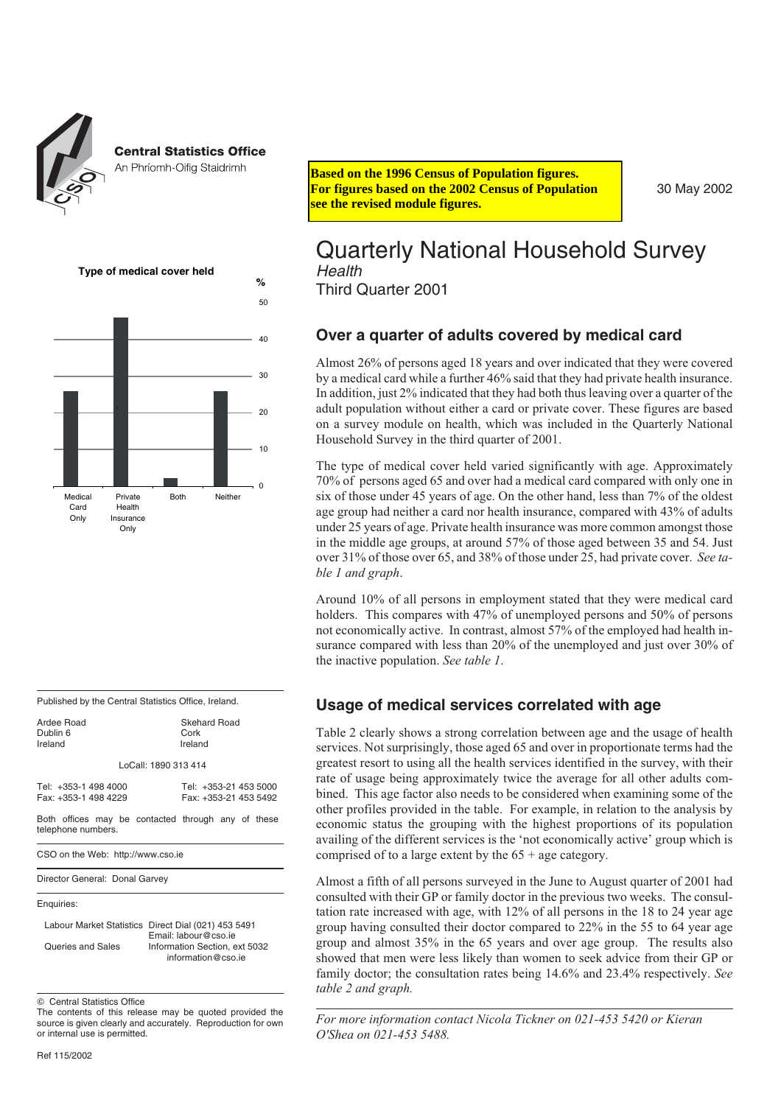

#### **Central Statistics Office**

| ALLETIIIUHIII PUIILY JUULIIIIIIIII                                                                                                                                                      | <b>Based on the 1996 Census of Population figures.</b><br>For figures based on the 2002 Census of Populati<br>see the revised module figures.                                                                                                                                                                                                                                                                |
|-----------------------------------------------------------------------------------------------------------------------------------------------------------------------------------------|--------------------------------------------------------------------------------------------------------------------------------------------------------------------------------------------------------------------------------------------------------------------------------------------------------------------------------------------------------------------------------------------------------------|
| Type of medical cover held<br>%<br>50                                                                                                                                                   | <b>Quarterly National House</b><br>Health<br><b>Third Quarter 2001</b>                                                                                                                                                                                                                                                                                                                                       |
| 40                                                                                                                                                                                      | Over a quarter of adults covered by                                                                                                                                                                                                                                                                                                                                                                          |
| 30<br>20<br>10                                                                                                                                                                          | Almost 26% of persons aged 18 years and over indi-<br>by a medical card while a further 46% said that they<br>In addition, just 2% indicated that they had both thu<br>adult population without either a card or private co<br>on a survey module on health, which was include<br>Household Survey in the third quarter of 2001.                                                                             |
| $\mathbf 0$<br>Medical<br>Both<br>Neither<br>Private<br>Card<br>Health<br>Only<br>Insurance<br>Only                                                                                     | The type of medical cover held varied significant<br>70% of persons aged 65 and over had a medical can<br>six of those under 45 years of age. On the other has<br>age group had neither a card nor health insurance, o<br>under 25 years of age. Private health insurance was<br>in the middle age groups, at around 57% of those a<br>over 31% of those over 65, and 38% of those under<br>ble 1 and graph. |
|                                                                                                                                                                                         | Around 10% of all persons in employment stated<br>holders. This compares with 47% of unemployed<br>not economically active. In contrast, almost 57% of<br>surance compared with less than 20% of the unem<br>the inactive population. See table 1.                                                                                                                                                           |
| Published by the Central Statistics Office, Ireland.                                                                                                                                    | <b>Usage of medical services correlate</b>                                                                                                                                                                                                                                                                                                                                                                   |
| <b>Ardee Road</b><br><b>Skehard Road</b><br>Dublin 6<br>Cork<br>Ireland<br>Ireland<br>LoCall: 1890 313 414                                                                              | Table 2 clearly shows a strong correlation between<br>services. Not surprisingly, those aged 65 and over in<br>greatest resort to using all the health services ident                                                                                                                                                                                                                                        |
| Tel: +353-1 498 4000<br>Tel: +353-21 453 5000<br>Fax: +353-1 498 4229<br>Fax: +353-21 453 5492<br>Both offices may be contacted through any of these<br>telephone numbers.              | rate of usage being approximately twice the avera<br>bined. This age factor also needs to be considered<br>other profiles provided in the table. For example,<br>economic status the grouping with the highest p<br>availing of the different services is the 'not econom                                                                                                                                    |
| CSO on the Web: http://www.cso.ie                                                                                                                                                       | comprised of to a large extent by the $65 + age$ cate                                                                                                                                                                                                                                                                                                                                                        |
| Director General: Donal Garvey                                                                                                                                                          | Almost a fifth of all persons surveyed in the June to<br>consulted with their GP or family doctor in the prev                                                                                                                                                                                                                                                                                                |
| Enquiries:<br>Labour Market Statistics Direct Dial (021) 453 5491<br>Email: labour@cso.ie<br><b>Queries and Sales</b><br>Information Section, ext 5032<br>information@cso.ie            | tation rate increased with age, with 12% of all per<br>group having consulted their doctor compared to 2<br>group and almost 35% in the 65 years and over<br>showed that men were less likely than women to s<br>family doctor; the consultation rates being 14.6%<br>table 2 and graph.                                                                                                                     |
| © Central Statistics Office<br>The contents of this release may be quoted provided the<br>source is given clearly and accurately. Reproduction for own<br>or internal use is permitted. | For more information contact Nicola Tickner on 0.<br>O'Shea on 021-453 5488.                                                                                                                                                                                                                                                                                                                                 |
| Ref 115/2002                                                                                                                                                                            |                                                                                                                                                                                                                                                                                                                                                                                                              |

**For figures based on the 2002 Census of Population see the revised module figures.**

30 May 2002

### Quarterly National Household Survey *Health*

#### **Over a quarter of adults covered by medical card**

Almost 26% of persons aged 18 years and over indicated that they were covered by a medical card while a further 46% said that they had private health insurance. In addition, just 2% indicated that they had both thus leaving over a quarter of the adult population without either a card or private cover. These figures are based on a survey module on health, which was included in the Quarterly National Household Survey in the third quarter of 2001.

The type of medical cover held varied significantly with age. Approximately 70% of persons aged 65 and over had a medical card compared with only one in six of those under 45 years of age. On the other hand, less than 7% of the oldest age group had neither a card nor health insurance, compared with 43% of adults under 25 years of age. Private health insurance was more common amongst those in the middle age groups, at around 57% of those aged between 35 and 54. Just over 31% of those over 65, and 38% of those under 25, had private cover. *See table 1 and graph*.

Around 10% of all persons in employment stated that they were medical card holders. This compares with 47% of unemployed persons and 50% of persons not economically active. In contrast, almost 57% of the employed had health insurance compared with less than 20% of the unemployed and just over 30% of the inactive population. *See table 1*.

#### **Usage of medical services correlated with age**

Table 2 clearly shows a strong correlation between age and the usage of health services. Not surprisingly, those aged 65 and over in proportionate terms had the greatest resort to using all the health services identified in the survey, with their rate of usage being approximately twice the average for all other adults combined. This age factor also needs to be considered when examining some of the other profiles provided in the table. For example, in relation to the analysis by economic status the grouping with the highest proportions of its population availing of the different services is the 'not economically active' group which is comprised of to a large extent by the  $65 +$  age category.

Almost a fifth of all persons surveyed in the June to August quarter of 2001 had consulted with their GP or family doctor in the previous two weeks. The consultation rate increased with age, with 12% of all persons in the 18 to 24 year age group having consulted their doctor compared to 22% in the 55 to 64 year age group and almost 35% in the 65 years and over age group. The results also showed that men were less likely than women to seek advice from their GP or family doctor; the consultation rates being 14.6% and 23.4% respectively. *See table 2 and graph.*

*For more information contact Nicola Tickner on 021-453 5420 or Kieran O'Shea on 021-453 5488.*

The contents of this release may be quoted provided the source is given clearly and accurately. Reproduction for own or internal use is permitted.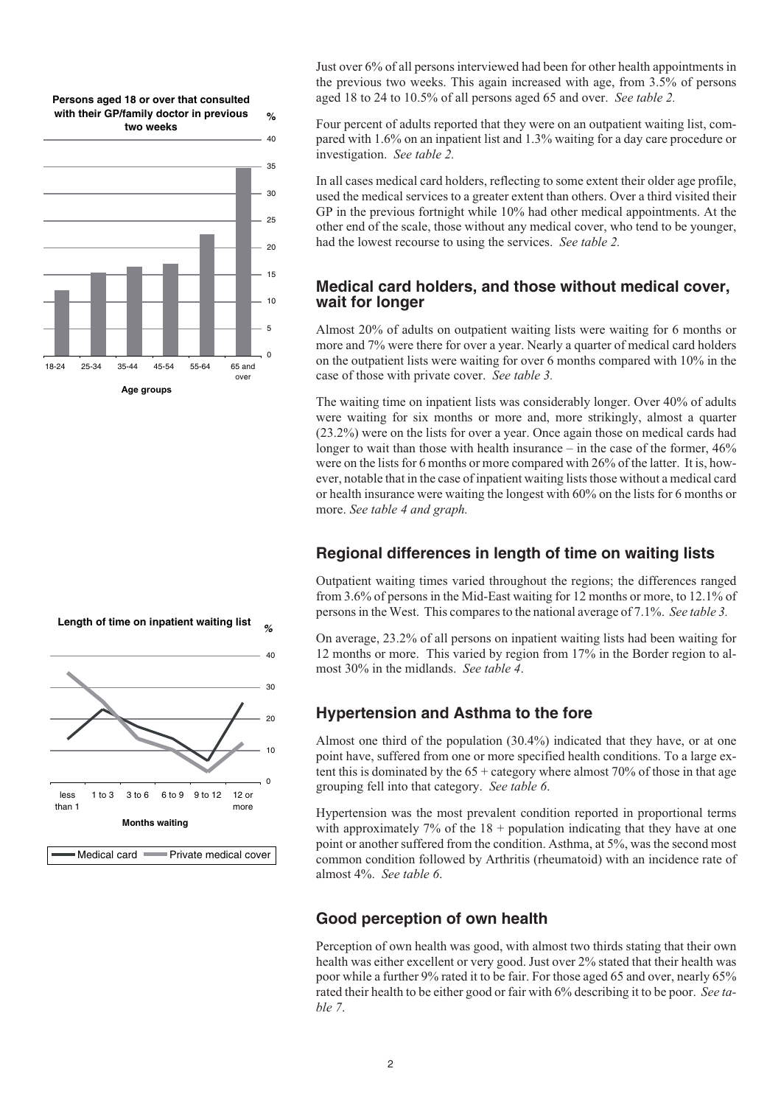**Persons aged 18 or over that consulted with their GP/family doctor in previous %**



Just over 6% of all persons interviewed had been for other health appointments in the previous two weeks. This again increased with age, from 3.5% of persons aged 18 to 24 to 10.5% of all persons aged 65 and over. *See table 2.*

Four percent of adults reported that they were on an outpatient waiting list, compared with 1.6% on an inpatient list and 1.3% waiting for a day care procedure or investigation. *See table 2.*

In all cases medical card holders, reflecting to some extent their older age profile, used the medical services to a greater extent than others. Over a third visited their GP in the previous fortnight while 10% had other medical appointments. At the other end of the scale, those without any medical cover, who tend to be younger, had the lowest recourse to using the services. *See table 2.*

#### **Medical card holders, and those without medical cover, wait for longer**

Almost 20% of adults on outpatient waiting lists were waiting for 6 months or more and 7% were there for over a year. Nearly a quarter of medical card holders on the outpatient lists were waiting for over 6 months compared with 10% in the case of those with private cover. *See table 3.*

The waiting time on inpatient lists was considerably longer. Over 40% of adults were waiting for six months or more and, more strikingly, almost a quarter (23.2%) were on the lists for over a year. Once again those on medical cards had longer to wait than those with health insurance – in the case of the former,  $46\%$ were on the lists for 6 months or more compared with 26% of the latter. It is, however, notable that in the case of inpatient waiting lists those without a medical card or health insurance were waiting the longest with 60% on the lists for 6 months or more. *See table 4 and graph.*

#### **Regional differences in length of time on waiting lists**

Outpatient waiting times varied throughout the regions; the differences ranged from 3.6% of persons in the Mid-East waiting for 12 months or more, to 12.1% of persons in the West. This compares to the national average of 7.1%. *See table 3.*

On average, 23.2% of all persons on inpatient waiting lists had been waiting for 12 months or more. This varied by region from 17% in the Border region to almost 30% in the midlands. *See table 4*.

#### **Hypertension and Asthma to the fore**

Almost one third of the population (30.4%) indicated that they have, or at one point have, suffered from one or more specified health conditions. To a large extent this is dominated by the  $65 +$  category where almost 70% of those in that age grouping fell into that category. *See table 6*.

Hypertension was the most prevalent condition reported in proportional terms with approximately  $7\%$  of the  $18 +$  population indicating that they have at one point or another suffered from the condition. Asthma, at 5%, was the second most common condition followed by Arthritis (rheumatoid) with an incidence rate of almost 4%. *See table 6*.

## **Good perception of own health**

Perception of own health was good, with almost two thirds stating that their own health was either excellent or very good. Just over 2% stated that their health was poor while a further 9% rated it to be fair. For those aged 65 and over, nearly 65% rated their health to be either good or fair with 6% describing it to be poor. *See table 7*.

**Length of time on inpatient waiting list** *%*

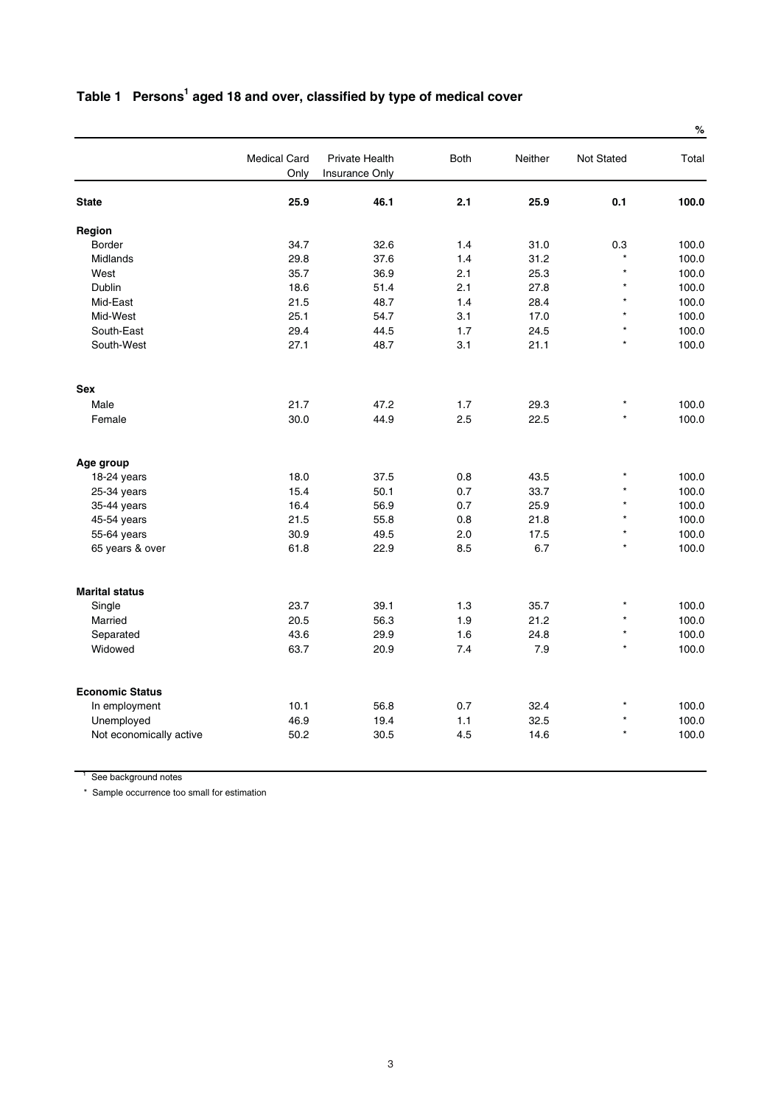# Table 1 Persons<sup>1</sup> aged 18 and over, classified by type of medical cover

|                         |                             |                                         |             |         |                   | $\%$  |
|-------------------------|-----------------------------|-----------------------------------------|-------------|---------|-------------------|-------|
|                         | <b>Medical Card</b><br>Only | Private Health<br><b>Insurance Only</b> | <b>Both</b> | Neither | <b>Not Stated</b> | Total |
| <b>State</b>            | 25.9                        | 46.1                                    | 2.1         | 25.9    | 0.1               | 100.0 |
| Region                  |                             |                                         |             |         |                   |       |
| <b>Border</b>           | 34.7                        | 32.6                                    | 1.4         | 31.0    | 0.3               | 100.0 |
| Midlands                | 29.8                        | 37.6                                    | 1.4         | 31.2    | $\star$           | 100.0 |
| West                    | 35.7                        | 36.9                                    | 2.1         | 25.3    | $\star$           | 100.0 |
| Dublin                  | 18.6                        | 51.4                                    | 2.1         | 27.8    | $\star$           | 100.0 |
| Mid-East                | 21.5                        | 48.7                                    | 1.4         | 28.4    | $\star$           | 100.0 |
| Mid-West                | 25.1                        | 54.7                                    | 3.1         | 17.0    | $\star$           | 100.0 |
| South-East              | 29.4                        | 44.5                                    | 1.7         | 24.5    | $\star$           | 100.0 |
| South-West              | 27.1                        | 48.7                                    | 3.1         | 21.1    | $\star$           | 100.0 |
| Sex                     |                             |                                         |             |         |                   |       |
| Male                    | 21.7                        | 47.2                                    | 1.7         | 29.3    | $\star$           | 100.0 |
| Female                  | 30.0                        | 44.9                                    | 2.5         | 22.5    | $\star$           | 100.0 |
| Age group               |                             |                                         |             |         |                   |       |
| 18-24 years             | 18.0                        | 37.5                                    | 0.8         | 43.5    | $\star$           | 100.0 |
| 25-34 years             | 15.4                        | 50.1                                    | 0.7         | 33.7    | $\star$           | 100.0 |
| 35-44 years             | 16.4                        | 56.9                                    | 0.7         | 25.9    | $\star$           | 100.0 |
| 45-54 years             | 21.5                        | 55.8                                    | 0.8         | 21.8    | $\star$           | 100.0 |
| 55-64 years             | 30.9                        | 49.5                                    | 2.0         | 17.5    | $\star$           | 100.0 |
| 65 years & over         | 61.8                        | 22.9                                    | 8.5         | 6.7     | $\star$           | 100.0 |
| <b>Marital status</b>   |                             |                                         |             |         |                   |       |
| Single                  | 23.7                        | 39.1                                    | 1.3         | 35.7    | $\star$           | 100.0 |
| Married                 | 20.5                        | 56.3                                    | 1.9         | 21.2    | $\star$           | 100.0 |
| Separated               | 43.6                        | 29.9                                    | 1.6         | 24.8    | $\star$           | 100.0 |
| Widowed                 | 63.7                        | 20.9                                    | 7.4         | 7.9     | $\star$           | 100.0 |
| <b>Economic Status</b>  |                             |                                         |             |         |                   |       |
| In employment           | 10.1                        | 56.8                                    | 0.7         | 32.4    | $\star$           | 100.0 |
| Unemployed              | 46.9                        | 19.4                                    | 1.1         | 32.5    | $\star$           | 100.0 |
| Not economically active | 50.2                        | 30.5                                    | 4.5         | 14.6    | $\star$           | 100.0 |
|                         |                             |                                         |             |         |                   |       |

<sup>1</sup> See background notes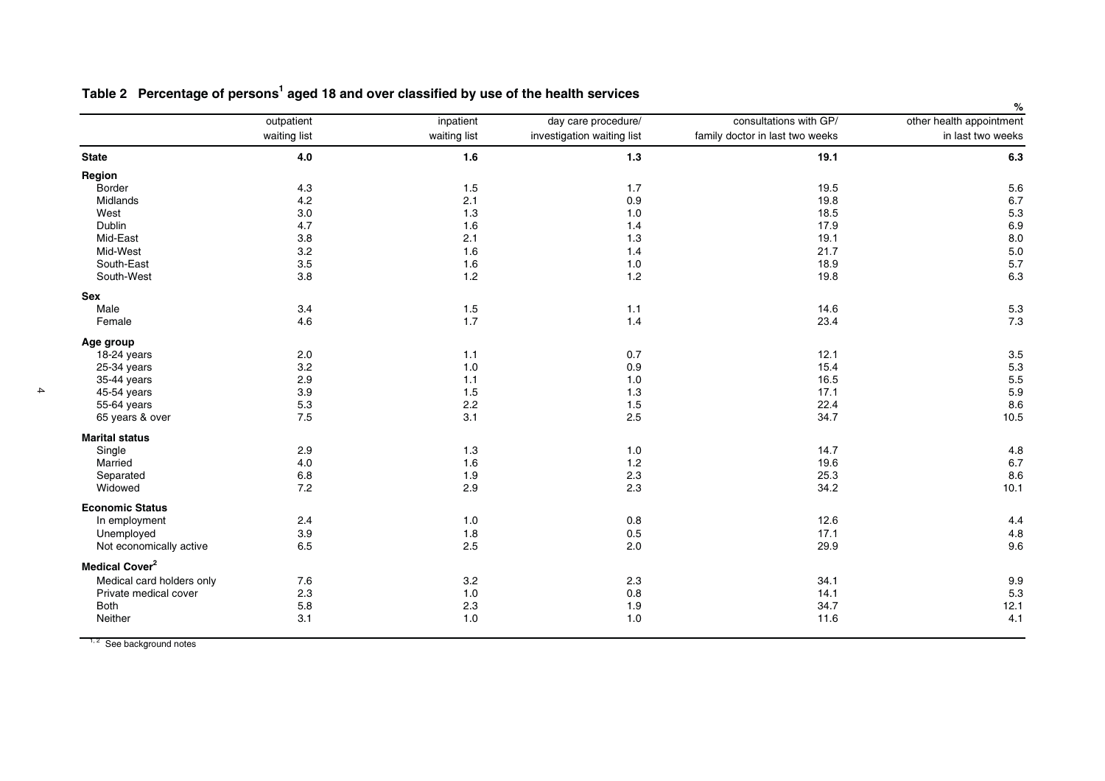|                            |              |              |                            | consultations with GP/          | %                        |
|----------------------------|--------------|--------------|----------------------------|---------------------------------|--------------------------|
|                            | outpatient   | inpatient    | day care procedure/        |                                 | other health appointment |
|                            | waiting list | waiting list | investigation waiting list | family doctor in last two weeks | in last two weeks        |
| <b>State</b>               | $4.0\,$      | 1.6          | $1.3$                      | 19.1                            | 6.3                      |
| Region                     |              |              |                            |                                 |                          |
| Border                     | 4.3          | $1.5$        | 1.7                        | 19.5                            | 5.6                      |
| <b>Midlands</b>            | 4.2          | 2.1          | 0.9                        | 19.8                            | 6.7                      |
| West                       | 3.0          | 1.3          | 1.0                        | 18.5                            | 5.3                      |
| Dublin                     | 4.7          | 1.6          | 1.4                        | 17.9                            | 6.9                      |
| Mid-East                   | 3.8          | 2.1          | 1.3                        | 19.1                            | 8.0                      |
| Mid-West                   | 3.2          | 1.6          | 1.4                        | 21.7                            | 5.0                      |
| South-East                 | 3.5          | 1.6          | $1.0$                      | 18.9                            | 5.7                      |
| South-West                 | 3.8          | 1.2          | 1.2                        | 19.8                            | 6.3                      |
| Sex                        |              |              |                            |                                 |                          |
| Male                       | 3.4          | 1.5          | $1.1$                      | 14.6                            | 5.3                      |
| Female                     | 4.6          | 1.7          | 1.4                        | 23.4                            | 7.3                      |
| Age group                  |              |              |                            |                                 |                          |
| 18-24 years                | 2.0          | 1.1          | 0.7                        | 12.1                            | 3.5                      |
| 25-34 years                | 3.2          | $1.0$        | 0.9                        | 15.4                            | 5.3                      |
| 35-44 years                | 2.9          | 1.1          | 1.0                        | 16.5                            | 5.5                      |
| 45-54 years                | 3.9          | 1.5          | 1.3                        | 17.1                            | 5.9                      |
| 55-64 years                | 5.3          | 2.2          | 1.5                        | 22.4                            | 8.6                      |
| 65 years & over            | 7.5          | 3.1          | 2.5                        | 34.7                            | 10.5                     |
| <b>Marital status</b>      |              |              |                            |                                 |                          |
| Single                     | 2.9          | 1.3          | 1.0                        | 14.7                            | 4.8                      |
| Married                    | 4.0          | 1.6          | $1.2$                      | 19.6                            | 6.7                      |
| Separated                  | 6.8          | 1.9          | 2.3                        | 25.3                            | 8.6                      |
| Widowed                    | 7.2          | 2.9          | 2.3                        | 34.2                            | 10.1                     |
| <b>Economic Status</b>     |              |              |                            |                                 |                          |
| In employment              | 2.4          | 1.0          | 0.8                        | 12.6                            | 4.4                      |
| Unemployed                 | 3.9          | 1.8          | 0.5                        | 17.1                            | 4.8                      |
| Not economically active    | 6.5          | 2.5          | 2.0                        | 29.9                            | 9.6                      |
| Medical Cover <sup>2</sup> |              |              |                            |                                 |                          |
| Medical card holders only  | 7.6          | 3.2          | 2.3                        | 34.1                            | 9.9                      |
| Private medical cover      | 2.3          | 1.0          | 0.8                        | 14.1                            | 5.3                      |
| Both                       | 5.8          | 2.3          | 1.9                        | 34.7                            | 12.1                     |
| Neither                    | 3.1          | 1.0          | 1.0                        | 11.6                            | 4.1                      |
|                            |              |              |                            |                                 |                          |

Table 2 Percentage of persons<sup>1</sup> aged 18 and over classified by use of the health services

 $1, 2$  See background notes

 $\blacktriangle$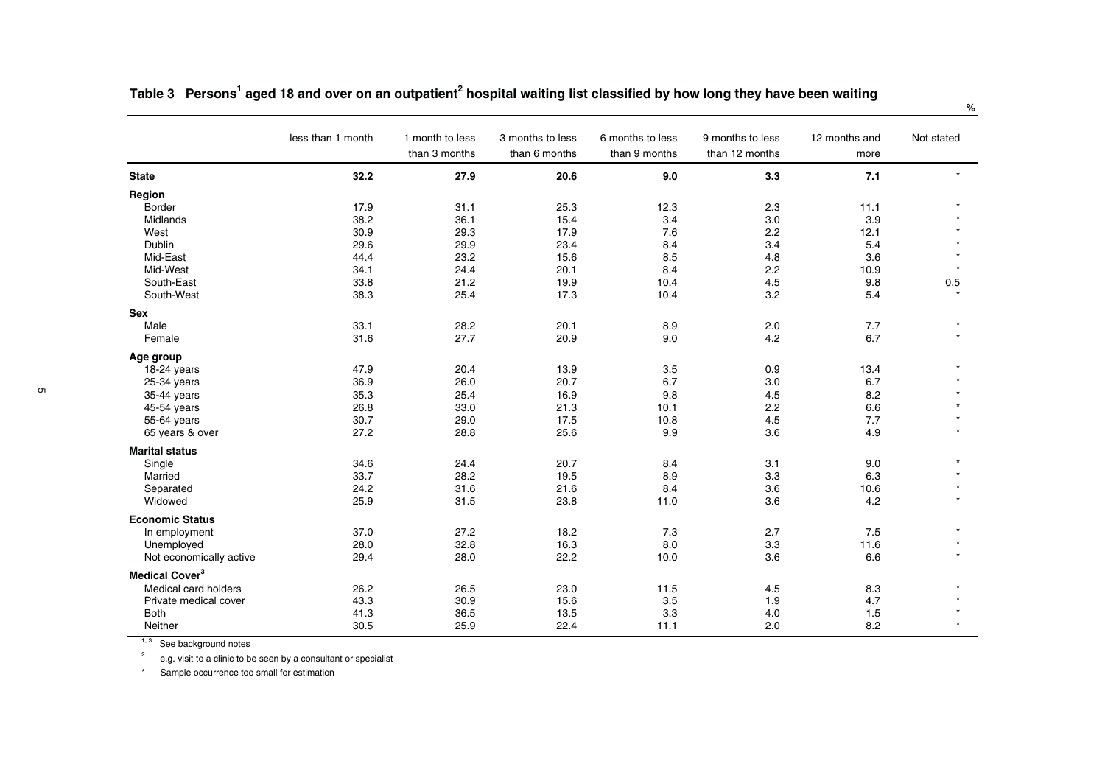|                            | less than 1 month | 1 month to less<br>than 3 months | 3 months to less<br>than 6 months | 6 months to less<br>than 9 months | 9 months to less<br>than 12 months | 12 months and<br>more | Not stated |
|----------------------------|-------------------|----------------------------------|-----------------------------------|-----------------------------------|------------------------------------|-----------------------|------------|
| <b>State</b>               | 32.2              | 27.9                             | 20.6                              | 9.0                               | 3.3                                | 7.1                   |            |
| Region                     |                   |                                  |                                   |                                   |                                    |                       |            |
| <b>Border</b>              | 17.9              | 31.1                             | 25.3                              | 12.3                              | 2.3                                | 11.1                  |            |
| Midlands                   | 38.2              | 36.1                             | 15.4                              | 3.4                               | 3.0                                | 3.9                   |            |
| West                       | 30.9              | 29.3                             | 17.9                              | 7.6                               | 2.2                                | 12.1                  |            |
| Dublin                     | 29.6              | 29.9                             | 23.4                              | 8.4                               | 3.4                                | 5.4                   |            |
| Mid-East                   | 44.4              | 23.2                             | 15.6                              | 8.5                               | 4.8                                | 3.6                   |            |
| Mid-West                   | 34.1              | 24.4                             | 20.1                              | 8.4                               | 2.2                                | 10.9                  |            |
| South-East                 | 33.8              | 21.2                             | 19.9                              | 10.4                              | 4.5                                | 9.8                   | 0.5        |
| South-West                 | 38.3              | 25.4                             | 17.3                              | 10.4                              | 3.2                                | 5.4                   |            |
| Sex                        |                   |                                  |                                   |                                   |                                    |                       |            |
| Male                       | 33.1              | 28.2                             | 20.1                              | 8.9                               | 2.0                                | 7.7                   |            |
| Female                     | 31.6              | 27.7                             | 20.9                              | 9.0                               | 4.2                                | 6.7                   |            |
| Age group                  |                   |                                  |                                   |                                   |                                    |                       |            |
| 18-24 years                | 47.9              | 20.4                             | 13.9                              | 3.5                               | 0.9                                | 13.4                  |            |
| 25-34 years                | 36.9              | 26.0                             | 20.7                              | 6.7                               | 3.0                                | 6.7                   |            |
| 35-44 years                | 35.3              | 25.4                             | 16.9                              | 9.8                               | 4.5                                | 8.2                   |            |
| 45-54 years                | 26.8              | 33.0                             | 21.3                              | 10.1                              | 2.2                                | 6.6                   |            |
| 55-64 years                | 30.7              | 29.0                             | 17.5                              | 10.8                              | 4.5                                | 7.7                   |            |
| 65 years & over            | 27.2              | 28.8                             | 25.6                              | 9.9                               | 3.6                                | 4.9                   |            |
| <b>Marital status</b>      |                   |                                  |                                   |                                   |                                    |                       |            |
| Single                     | 34.6              | 24.4                             | 20.7                              | 8.4                               | 3.1                                | 9.0                   |            |
| Married                    | 33.7              | 28.2                             | 19.5                              | 8.9                               | 3.3                                | 6.3                   |            |
| Separated                  | 24.2              | 31.6                             | 21.6                              | 8.4                               | 3.6                                | 10.6                  |            |
| Widowed                    | 25.9              | 31.5                             | 23.8                              | 11.0                              | 3.6                                | 4.2                   |            |
| <b>Economic Status</b>     |                   |                                  |                                   |                                   |                                    |                       |            |
| In employment              | 37.0              | 27.2                             | 18.2                              | 7.3                               | 2.7                                | 7.5                   |            |
| Unemployed                 | 28.0              | 32.8                             | 16.3                              | 8.0                               | 3.3                                | 11.6                  |            |
| Not economically active    | 29.4              | 28.0                             | 22.2                              | 10.0                              | 3.6                                | 6.6                   |            |
| Medical Cover <sup>3</sup> |                   |                                  |                                   |                                   |                                    |                       |            |
| Medical card holders       | 26.2              | 26.5                             | 23.0                              | 11.5                              | 4.5                                | 8.3                   |            |
| Private medical cover      | 43.3              | 30.9                             | 15.6                              | 3.5                               | 1.9                                | 4.7                   |            |
| <b>Both</b>                | 41.3              | 36.5                             | 13.5                              | 3.3                               | 4.0                                | 1.5                   |            |
| Neither                    | 30.5              | 25.9                             | 22.4                              | 11.1                              | 2.0                                | 8.2                   |            |

Table 3 Persons<sup>1</sup> aged 18 and over on an outpatient<sup>2</sup> hospital waiting list classified by how long they have been waiting

 $1, 3$  See background notes

 $2^2$  e.g. visit to a clinic to be seen by a consultant or specialist

\* Sample occurrence too small for estimation

**%**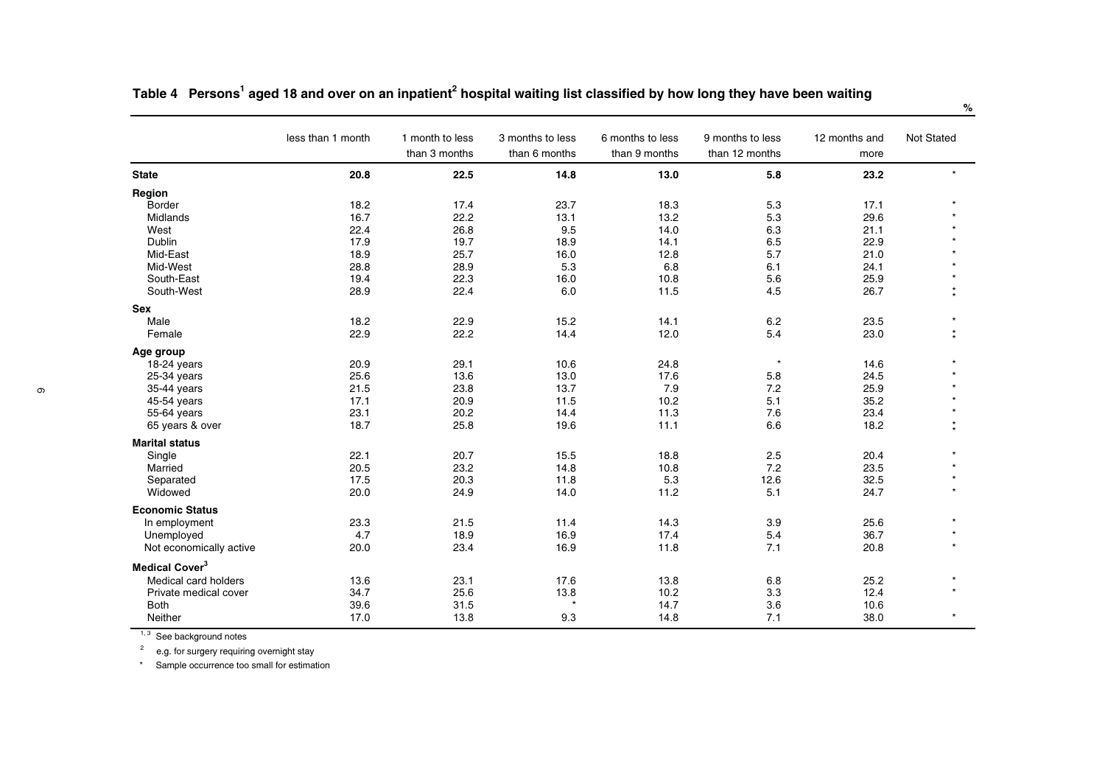|                            | less than 1 month | 1 month to less<br>than 3 months | 3 months to less<br>than 6 months | 6 months to less<br>than 9 months | 9 months to less<br>than 12 months | 12 months and<br>more | Not Stated |
|----------------------------|-------------------|----------------------------------|-----------------------------------|-----------------------------------|------------------------------------|-----------------------|------------|
| <b>State</b>               | 20.8              | 22.5                             | 14.8                              | 13.0                              | 5.8                                | 23.2                  | $\star$    |
| Region                     |                   |                                  |                                   |                                   |                                    |                       |            |
| <b>Border</b>              | 18.2              | 17.4                             | 23.7                              | 18.3                              | 5.3                                | 17.1                  |            |
| Midlands                   | 16.7              | 22.2                             | 13.1                              | 13.2                              | 5.3                                | 29.6                  |            |
| West                       | 22.4              | 26.8                             | 9.5                               | 14.0                              | 6.3                                | 21.1                  |            |
| Dublin                     | 17.9              | 19.7                             | 18.9                              | 14.1                              | 6.5                                | 22.9                  |            |
| Mid-East                   | 18.9              | 25.7                             | 16.0                              | 12.8                              | 5.7                                | 21.0                  |            |
| Mid-West                   | 28.8              | 28.9                             | 5.3                               | 6.8                               | 6.1                                | 24.1                  |            |
| South-East                 | 19.4              | 22.3                             | 16.0                              | 10.8                              | 5.6                                | 25.9                  |            |
| South-West                 | 28.9              | 22.4                             | 6.0                               | 11.5                              | 4.5                                | 26.7                  | $\ast$     |
| <b>Sex</b>                 |                   |                                  |                                   |                                   |                                    |                       |            |
| Male                       | 18.2              | 22.9                             | 15.2                              | 14.1                              | 6.2                                | 23.5                  |            |
| Female                     | 22.9              | 22.2                             | 14.4                              | 12.0                              | 5.4                                | 23.0                  | $\star$    |
| Age group                  |                   |                                  |                                   |                                   |                                    |                       |            |
| 18-24 years                | 20.9              | 29.1                             | 10.6                              | 24.8                              | $\star$                            | 14.6                  |            |
| 25-34 years                | 25.6              | 13.6                             | 13.0                              | 17.6                              | 5.8                                | 24.5                  |            |
| 35-44 years                | 21.5              | 23.8                             | 13.7                              | 7.9                               | 7.2                                | 25.9                  |            |
| 45-54 years                | 17.1              | 20.9                             | 11.5                              | 10.2                              | 5.1                                | 35.2                  |            |
| 55-64 years                | 23.1              | 20.2                             | 14.4                              | 11.3                              | 7.6                                | 23.4                  |            |
| 65 years & over            | 18.7              | 25.8                             | 19.6                              | 11.1                              | 6.6                                | 18.2                  | $\star$    |
| <b>Marital status</b>      |                   |                                  |                                   |                                   |                                    |                       |            |
| Single                     | 22.1              | 20.7                             | 15.5                              | 18.8                              | 2.5                                | 20.4                  |            |
| Married                    | 20.5              | 23.2                             | 14.8                              | 10.8                              | 7.2                                | 23.5                  |            |
| Separated                  | 17.5              | 20.3                             | 11.8                              | 5.3                               | 12.6                               | 32.5                  |            |
| Widowed                    | 20.0              | 24.9                             | 14.0                              | 11.2                              | 5.1                                | 24.7                  |            |
| <b>Economic Status</b>     |                   |                                  |                                   |                                   |                                    |                       |            |
| In employment              | 23.3              | 21.5                             | 11.4                              | 14.3                              | 3.9                                | 25.6                  |            |
| Unemployed                 | 4.7               | 18.9                             | 16.9                              | 17.4                              | 5.4                                | 36.7                  |            |
| Not economically active    | 20.0              | 23.4                             | 16.9                              | 11.8                              | 7.1                                | 20.8                  | $\star$    |
| Medical Cover <sup>3</sup> |                   |                                  |                                   |                                   |                                    |                       |            |
| Medical card holders       | 13.6              | 23.1                             | 17.6                              | 13.8                              | 6.8                                | 25.2                  |            |
| Private medical cover      | 34.7              | 25.6                             | 13.8                              | 10.2                              | 3.3                                | 12.4                  |            |
| <b>Both</b>                | 39.6              | 31.5                             | $\star$                           | 14.7                              | 3.6                                | 10.6                  |            |
| Neither                    | 17.0              | 13.8                             | 9.3                               | 14.8                              | 7.1                                | 38.0                  | $\star$    |

Table 4 Persons<sup>1</sup> aged 18 and over on an inpatient<sup>2</sup> hospital waiting list classified by how long they have been waiting

<sup>1, 3</sup> See background notes<br><sup>2</sup> e.g. for surgery requiring overnight stay

\* Sample occurrence too small for estimation

**%**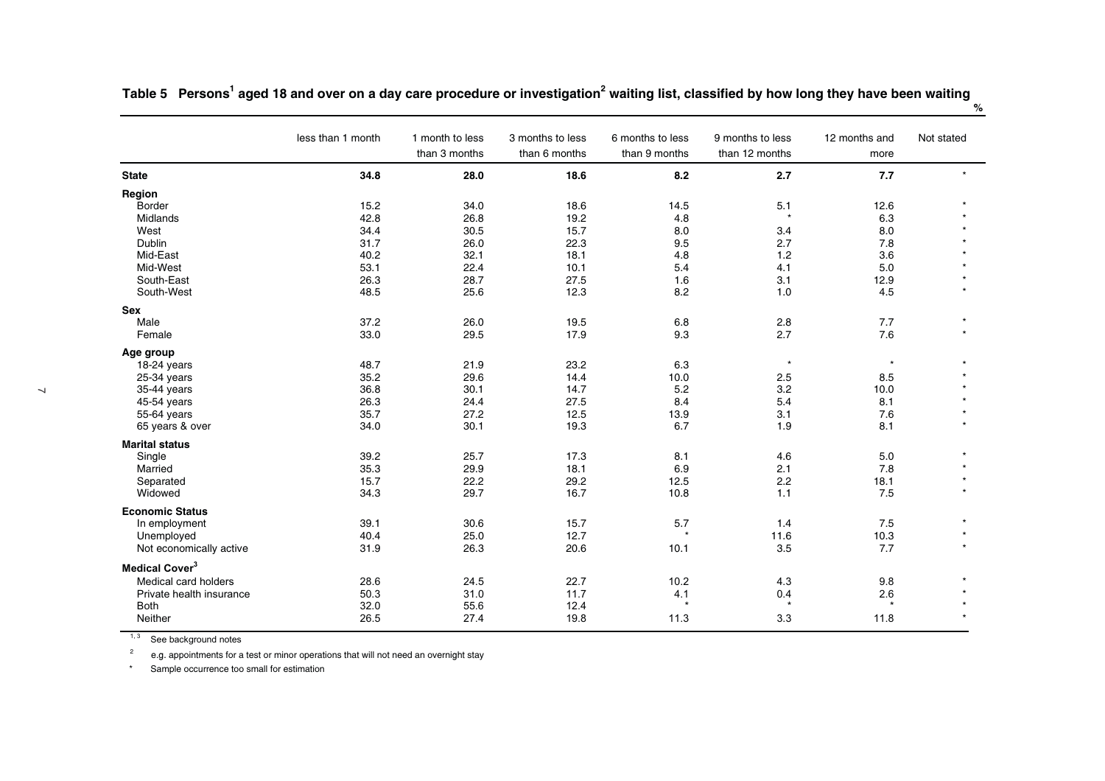|                            | less than 1 month | 1 month to less<br>than 3 months | 3 months to less<br>than 6 months | 6 months to less<br>than 9 months | 9 months to less<br>than 12 months | 12 months and<br>more | Not stated |
|----------------------------|-------------------|----------------------------------|-----------------------------------|-----------------------------------|------------------------------------|-----------------------|------------|
| <b>State</b>               | 34.8              | 28.0                             | 18.6                              | 8.2                               | 2.7                                | 7.7                   |            |
| Region                     |                   |                                  |                                   |                                   |                                    |                       |            |
| Border                     | 15.2              | 34.0                             | 18.6                              | 14.5                              | 5.1                                | 12.6                  |            |
| Midlands                   | 42.8              | 26.8                             | 19.2                              | 4.8                               | $\star$                            | 6.3                   |            |
| West                       | 34.4              | 30.5                             | 15.7                              | 8.0                               | 3.4                                | 8.0                   |            |
| Dublin                     | 31.7              | 26.0                             | 22.3                              | 9.5                               | 2.7                                | 7.8                   |            |
| Mid-East                   | 40.2              | 32.1                             | 18.1                              | 4.8                               | 1.2                                | 3.6                   |            |
| Mid-West                   | 53.1              | 22.4                             | 10.1                              | 5.4                               | 4.1                                | 5.0                   |            |
| South-East                 | 26.3              | 28.7                             | 27.5                              | 1.6                               | 3.1                                | 12.9                  |            |
| South-West                 | 48.5              | 25.6                             | 12.3                              | 8.2                               | 1.0                                | 4.5                   | $\star$    |
| Sex                        |                   |                                  |                                   |                                   |                                    |                       |            |
| Male                       | 37.2              | 26.0                             | 19.5                              | 6.8                               | 2.8                                | 7.7                   |            |
| Female                     | 33.0              | 29.5                             | 17.9                              | 9.3                               | 2.7                                | 7.6                   | $\star$    |
| Age group                  |                   |                                  |                                   |                                   |                                    |                       |            |
| 18-24 years                | 48.7              | 21.9                             | 23.2                              | 6.3                               | $\star$                            | $\star$               |            |
| 25-34 years                | 35.2              | 29.6                             | 14.4                              | 10.0                              | 2.5                                | 8.5                   |            |
| 35-44 years                | 36.8              | 30.1                             | 14.7                              | 5.2                               | 3.2                                | 10.0                  |            |
| 45-54 years                | 26.3              | 24.4                             | 27.5                              | 8.4                               | 5.4                                | 8.1                   |            |
| 55-64 years                | 35.7              | 27.2                             | 12.5                              | 13.9                              | 3.1                                | 7.6                   |            |
| 65 years & over            | 34.0              | 30.1                             | 19.3                              | 6.7                               | 1.9                                | 8.1                   | $\star$    |
| <b>Marital status</b>      |                   |                                  |                                   |                                   |                                    |                       |            |
| Single                     | 39.2              | 25.7                             | 17.3                              | 8.1                               | 4.6                                | 5.0                   |            |
| Married                    | 35.3              | 29.9                             | 18.1                              | 6.9                               | 2.1                                | 7.8                   |            |
| Separated                  | 15.7              | 22.2                             | 29.2                              | 12.5                              | 2.2                                | 18.1                  |            |
| Widowed                    | 34.3              | 29.7                             | 16.7                              | 10.8                              | 1.1                                | 7.5                   | $\star$    |
| <b>Economic Status</b>     |                   |                                  |                                   |                                   |                                    |                       |            |
| In employment              | 39.1              | 30.6                             | 15.7                              | 5.7                               | 1.4                                | 7.5                   |            |
| Unemployed                 | 40.4              | 25.0                             | 12.7                              | ٨                                 | 11.6                               | 10.3                  | $\star$    |
| Not economically active    | 31.9              | 26.3                             | 20.6                              | 10.1                              | 3.5                                | 7.7                   | $\star$    |
| Medical Cover <sup>3</sup> |                   |                                  |                                   |                                   |                                    |                       |            |
| Medical card holders       | 28.6              | 24.5                             | 22.7                              | 10.2                              | 4.3                                | 9.8                   |            |
| Private health insurance   | 50.3              | 31.0                             | 11.7                              | 4.1                               | 0.4                                | 2.6                   |            |
| <b>Both</b>                | 32.0              | 55.6                             | 12.4                              | $\star$                           | $\star$                            | $\star$               | $\star$    |
| Neither                    | 26.5              | 27.4                             | 19.8                              | 11.3                              | 3.3                                | 11.8                  |            |
|                            |                   |                                  |                                   |                                   |                                    |                       |            |

Table 5 Persons<sup>1</sup> aged 18 and over on a day care procedure or investigation<sup>2</sup> waiting list, classified by how long they have been waiting

**%**

 $1, 3$  See background notes

 $2^2$  e.g. appointments for a test or minor operations that will not need an overnight stay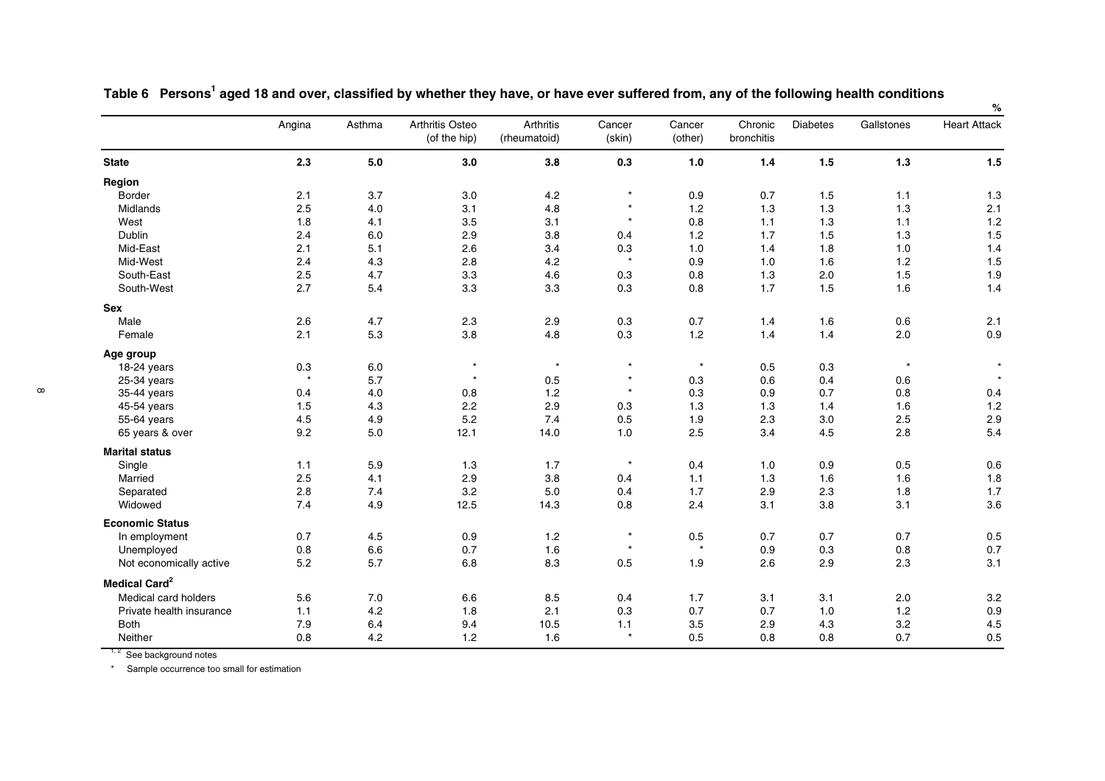|                           |         |        |                                 |                           |                  |                   |                       |                 |            | ℅                   |
|---------------------------|---------|--------|---------------------------------|---------------------------|------------------|-------------------|-----------------------|-----------------|------------|---------------------|
|                           | Angina  | Asthma | Arthritis Osteo<br>(of the hip) | Arthritis<br>(rheumatoid) | Cancer<br>(skin) | Cancer<br>(other) | Chronic<br>bronchitis | <b>Diabetes</b> | Gallstones | <b>Heart Attack</b> |
| <b>State</b>              | 2.3     | 5.0    | 3.0                             | 3.8                       | 0.3              | 1.0               | $1.4$                 | $1.5$           | $1.3$      | 1.5                 |
| Region                    |         |        |                                 |                           |                  |                   |                       |                 |            |                     |
| <b>Border</b>             | 2.1     | 3.7    | 3.0                             | 4.2                       | $\star$          | 0.9               | 0.7                   | 1.5             | 1.1        | 1.3                 |
| Midlands                  | 2.5     | 4.0    | 3.1                             | 4.8                       | $\star$          | 1.2               | 1.3                   | 1.3             | 1.3        | 2.1                 |
| West                      | 1.8     | 4.1    | 3.5                             | 3.1                       | $\star$          | 0.8               | 1.1                   | 1.3             | 1.1        | $1.2$               |
| Dublin                    | 2.4     | 6.0    | 2.9                             | 3.8                       | 0.4              | 1.2               | 1.7                   | 1.5             | 1.3        | 1.5                 |
| Mid-East                  | 2.1     | 5.1    | 2.6                             | 3.4                       | 0.3              | 1.0               | 1.4                   | 1.8             | 1.0        | 1.4                 |
| Mid-West                  | 2.4     | 4.3    | 2.8                             | 4.2                       | $\star$          | 0.9               | 1.0                   | 1.6             | $1.2$      | 1.5                 |
| South-East                | 2.5     | 4.7    | 3.3                             | 4.6                       | 0.3              | 0.8               | 1.3                   | 2.0             | 1.5        | 1.9                 |
| South-West                | 2.7     | 5.4    | 3.3                             | 3.3                       | 0.3              | 0.8               | 1.7                   | 1.5             | 1.6        | 1.4                 |
| <b>Sex</b>                |         |        |                                 |                           |                  |                   |                       |                 |            |                     |
| Male                      | 2.6     | 4.7    | 2.3                             | 2.9                       | 0.3              | 0.7               | 1.4                   | 1.6             | 0.6        | 2.1                 |
| Female                    | 2.1     | 5.3    | 3.8                             | 4.8                       | 0.3              | 1.2               | 1.4                   | 1.4             | 2.0        | 0.9                 |
| Age group                 |         |        |                                 |                           |                  |                   |                       |                 |            |                     |
| 18-24 years               | 0.3     | 6.0    | $\star$                         | $\star$                   | $\star$          | $\star$           | 0.5                   | 0.3             | $\star$    |                     |
| 25-34 years               | $\star$ | 5.7    | $\star$                         | 0.5                       | $\ast$           | 0.3               | 0.6                   | 0.4             | 0.6        |                     |
| 35-44 years               | 0.4     | 4.0    | 0.8                             | 1.2                       | $\star$          | 0.3               | 0.9                   | 0.7             | 0.8        | 0.4                 |
| 45-54 years               | 1.5     | 4.3    | 2.2                             | 2.9                       | 0.3              | 1.3               | 1.3                   | 1.4             | 1.6        | 1.2                 |
| 55-64 years               | 4.5     | 4.9    | 5.2                             | 7.4                       | 0.5              | 1.9               | 2.3                   | 3.0             | 2.5        | 2.9                 |
| 65 years & over           | 9.2     | 5.0    | 12.1                            | 14.0                      | 1.0              | 2.5               | 3.4                   | 4.5             | 2.8        | 5.4                 |
| <b>Marital status</b>     |         |        |                                 |                           |                  |                   |                       |                 |            |                     |
| Single                    | 1.1     | 5.9    | 1.3                             | 1.7                       | $\star$          | 0.4               | 1.0                   | 0.9             | 0.5        | 0.6                 |
| Married                   | 2.5     | 4.1    | 2.9                             | 3.8                       | 0.4              | 1.1               | 1.3                   | 1.6             | 1.6        | 1.8                 |
| Separated                 | 2.8     | 7.4    | 3.2                             | 5.0                       | 0.4              | 1.7               | 2.9                   | 2.3             | 1.8        | 1.7                 |
| Widowed                   | 7.4     | 4.9    | 12.5                            | 14.3                      | 0.8              | 2.4               | 3.1                   | 3.8             | 3.1        | 3.6                 |
| <b>Economic Status</b>    |         |        |                                 |                           |                  |                   |                       |                 |            |                     |
| In employment             | 0.7     | 4.5    | 0.9                             | 1.2                       | $\star$          | $0.5\,$           | 0.7                   | 0.7             | 0.7        | $0.5\,$             |
| Unemployed                | $0.8\,$ | 6.6    | 0.7                             | 1.6                       | $\star$          | $\star$           | 0.9                   | 0.3             | 0.8        | 0.7                 |
| Not economically active   | 5.2     | 5.7    | 6.8                             | 8.3                       | 0.5              | 1.9               | 2.6                   | 2.9             | 2.3        | 3.1                 |
| Medical Card <sup>2</sup> |         |        |                                 |                           |                  |                   |                       |                 |            |                     |
| Medical card holders      | 5.6     | 7.0    | 6.6                             | 8.5                       | 0.4              | 1.7               | 3.1                   | 3.1             | 2.0        | 3.2                 |
| Private health insurance  | 1.1     | 4.2    | 1.8                             | 2.1                       | 0.3              | 0.7               | 0.7                   | 1.0             | 1.2        | 0.9                 |
| <b>Both</b>               | 7.9     | 6.4    | 9.4                             | 10.5                      | 1.1              | 3.5               | 2.9                   | 4.3             | 3.2        | 4.5                 |
| Neither                   | 0.8     | 4.2    | 1.2                             | 1.6                       | $\star$          | 0.5               | 0.8                   | 0.8             | 0.7        | 0.5                 |

Table 6 Persons<sup>1</sup> aged 18 and over, classified by whether they have, or have ever suffered from, any of the following health conditions

<sup>1, 2</sup> See background notes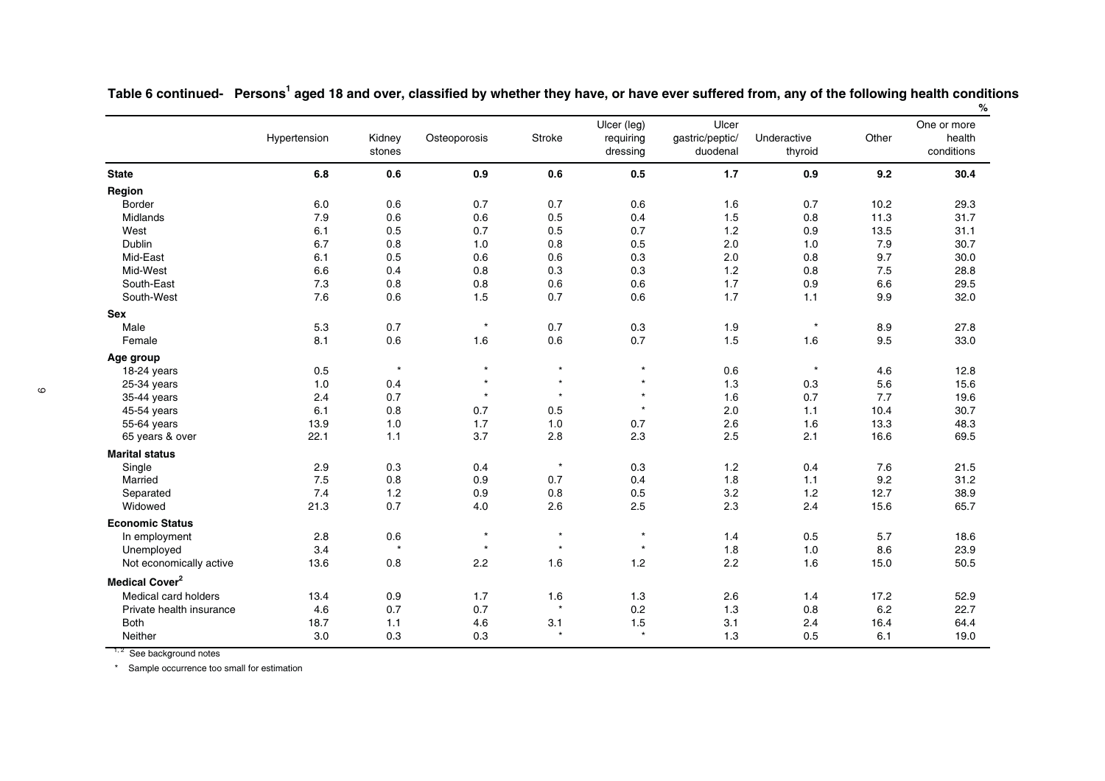|                                  | Hypertension | Kidney<br>stones | Osteoporosis | Stroke  | Ulcer (leg)<br>requiring<br>dressing | Ulcer<br>gastric/peptic/<br>duodenal | Underactive<br>thyroid | Other | One or more<br>health<br>conditions |
|----------------------------------|--------------|------------------|--------------|---------|--------------------------------------|--------------------------------------|------------------------|-------|-------------------------------------|
| <b>State</b>                     | 6.8          | $0.6\,$          | 0.9          | 0.6     | 0.5                                  | 1.7                                  | 0.9                    | 9.2   | 30.4                                |
| Region                           |              |                  |              |         |                                      |                                      |                        |       |                                     |
| <b>Border</b>                    | 6.0          | 0.6              | 0.7          | 0.7     | 0.6                                  | 1.6                                  | 0.7                    | 10.2  | 29.3                                |
| Midlands                         | 7.9          | 0.6              | 0.6          | 0.5     | 0.4                                  | 1.5                                  | 0.8                    | 11.3  | 31.7                                |
| West                             | 6.1          | 0.5              | 0.7          | 0.5     | 0.7                                  | 1.2                                  | 0.9                    | 13.5  | 31.1                                |
| Dublin                           | 6.7          | 0.8              | 1.0          | 0.8     | 0.5                                  | 2.0                                  | 1.0                    | 7.9   | 30.7                                |
| Mid-East                         | 6.1          | 0.5              | 0.6          | 0.6     | 0.3                                  | 2.0                                  | 0.8                    | 9.7   | 30.0                                |
| Mid-West                         | 6.6          | 0.4              | 0.8          | 0.3     | 0.3                                  | 1.2                                  | 0.8                    | 7.5   | 28.8                                |
| South-East                       | 7.3          | 0.8              | 0.8          | 0.6     | 0.6                                  | 1.7                                  | 0.9                    | 6.6   | 29.5                                |
| South-West                       | 7.6          | $0.6\,$          | 1.5          | 0.7     | 0.6                                  | 1.7                                  | $1.1$                  | 9.9   | 32.0                                |
| <b>Sex</b>                       |              |                  |              |         |                                      |                                      |                        |       |                                     |
| Male                             | 5.3          | 0.7              | $\star$      | 0.7     | 0.3                                  | 1.9                                  | $\star$                | 8.9   | 27.8                                |
| Female                           | 8.1          | 0.6              | 1.6          | 0.6     | 0.7                                  | 1.5                                  | 1.6                    | 9.5   | 33.0                                |
| Age group                        |              |                  |              |         |                                      |                                      |                        |       |                                     |
| 18-24 years                      | 0.5          | $\star$          | $\star$      | $\star$ | $\star$                              | 0.6                                  | $\star$                | 4.6   | 12.8                                |
| 25-34 years                      | $1.0$        | 0.4              | $\star$      | $\star$ | $\star$                              | 1.3                                  | 0.3                    | 5.6   | 15.6                                |
| 35-44 years                      | 2.4          | 0.7              | $\star$      | $\star$ | $\star$                              | 1.6                                  | 0.7                    | 7.7   | 19.6                                |
| 45-54 years                      | 6.1          | 0.8              | 0.7          | 0.5     | $\star$                              | 2.0                                  | 1.1                    | 10.4  | 30.7                                |
| 55-64 years                      | 13.9         | 1.0              | 1.7          | 1.0     | 0.7                                  | 2.6                                  | 1.6                    | 13.3  | 48.3                                |
| 65 years & over                  | 22.1         | 1.1              | 3.7          | 2.8     | 2.3                                  | 2.5                                  | 2.1                    | 16.6  | 69.5                                |
| <b>Marital status</b>            |              |                  |              |         |                                      |                                      |                        |       |                                     |
| Single                           | 2.9          | 0.3              | 0.4          | $\star$ | 0.3                                  | 1.2                                  | 0.4                    | 7.6   | 21.5                                |
| Married                          | 7.5          | 0.8              | 0.9          | 0.7     | 0.4                                  | 1.8                                  | 1.1                    | 9.2   | 31.2                                |
| Separated                        | 7.4          | 1.2              | 0.9          | 0.8     | 0.5                                  | 3.2                                  | 1.2                    | 12.7  | 38.9                                |
| Widowed                          | 21.3         | 0.7              | 4.0          | 2.6     | 2.5                                  | 2.3                                  | 2.4                    | 15.6  | 65.7                                |
| <b>Economic Status</b>           |              |                  |              |         |                                      |                                      |                        |       |                                     |
| In employment                    | 2.8          | 0.6              | $\star$      | $\star$ | $\star$                              | 1.4                                  | 0.5                    | 5.7   | 18.6                                |
| Unemployed                       | 3.4          | $\star$          | $\star$      | $\star$ | $\star$                              | 1.8                                  | 1.0                    | 8.6   | 23.9                                |
| Not economically active          | 13.6         | 0.8              | 2.2          | 1.6     | 1.2                                  | 2.2                                  | 1.6                    | 15.0  | 50.5                                |
| <b>Medical Cover<sup>2</sup></b> |              |                  |              |         |                                      |                                      |                        |       |                                     |
| Medical card holders             | 13.4         | 0.9              | 1.7          | 1.6     | 1.3                                  | 2.6                                  | 1.4                    | 17.2  | 52.9                                |
| Private health insurance         | 4.6          | 0.7              | 0.7          | $\star$ | 0.2                                  | 1.3                                  | 0.8                    | 6.2   | 22.7                                |
| Both                             | 18.7         | 1.1              | 4.6          | 3.1     | 1.5                                  | 3.1                                  | 2.4                    | 16.4  | 64.4                                |
| Neither                          | 3.0          | 0.3              | 0.3          | $\star$ | $\star$                              | 1.3                                  | 0.5                    | 6.1   | 19.0                                |

Table 6 continued- Persons<sup>1</sup> aged 18 and over, classified by whether they have, or have ever suffered from, any of the following health conditions **%**

 $1, 2$  See background notes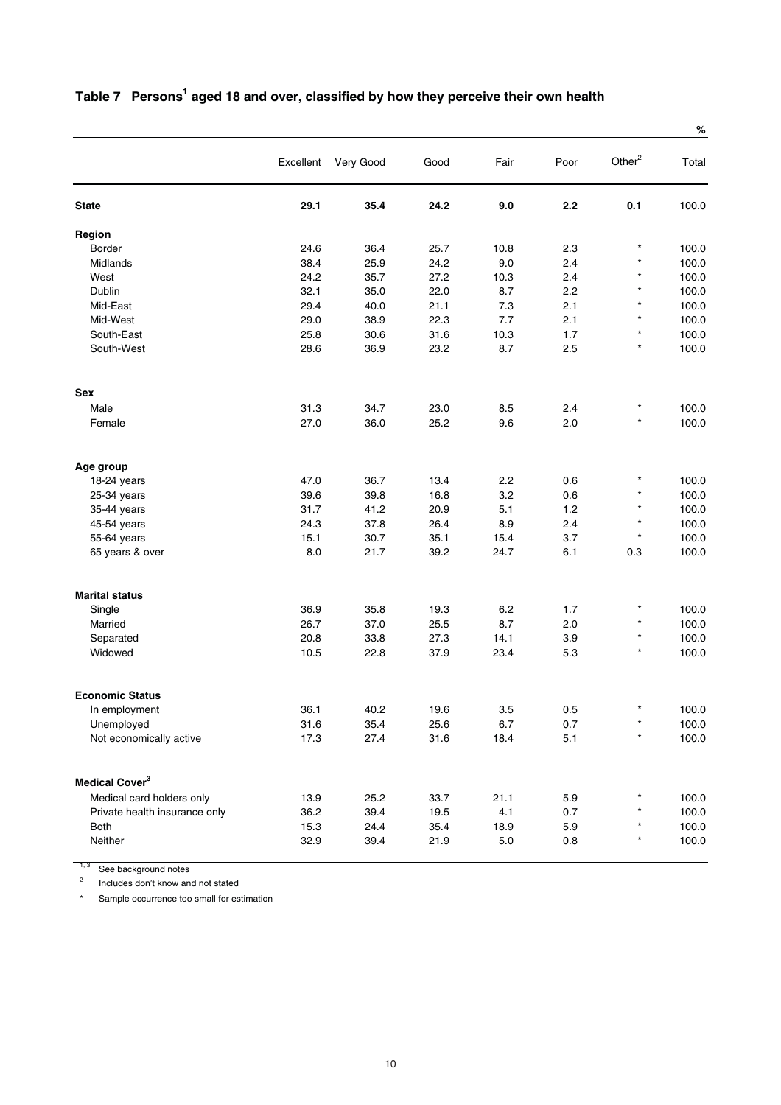|                               |           |           |      |         |         |                    | %     |
|-------------------------------|-----------|-----------|------|---------|---------|--------------------|-------|
|                               | Excellent | Very Good | Good | Fair    | Poor    | Other <sup>2</sup> | Total |
| <b>State</b>                  | 29.1      | 35.4      | 24.2 | 9.0     | 2.2     | 0.1                | 100.0 |
| Region                        |           |           |      |         |         |                    |       |
| Border                        | 24.6      | 36.4      | 25.7 | 10.8    | 2.3     | $\star$            | 100.0 |
| Midlands                      | 38.4      | 25.9      | 24.2 | 9.0     | 2.4     | $^{\star}$         | 100.0 |
| West                          | 24.2      | 35.7      | 27.2 | 10.3    | 2.4     | $\star$            | 100.0 |
| Dublin                        | 32.1      | 35.0      | 22.0 | 8.7     | 2.2     | $\star$            | 100.0 |
| Mid-East                      | 29.4      | 40.0      | 21.1 | 7.3     | 2.1     | $\star$            | 100.0 |
| Mid-West                      | 29.0      | 38.9      | 22.3 | 7.7     | 2.1     | $\star$            | 100.0 |
| South-East                    | 25.8      | 30.6      | 31.6 | 10.3    | 1.7     | $^{\star}$         | 100.0 |
| South-West                    | 28.6      | 36.9      | 23.2 | 8.7     | 2.5     | $\star$            | 100.0 |
| <b>Sex</b>                    |           |           |      |         |         |                    |       |
| Male                          | 31.3      | 34.7      | 23.0 | 8.5     | 2.4     | $\star$            | 100.0 |
| Female                        | 27.0      | 36.0      | 25.2 | 9.6     | 2.0     | $\star$            | 100.0 |
| Age group                     |           |           |      |         |         |                    |       |
| 18-24 years                   | 47.0      | 36.7      | 13.4 | 2.2     | 0.6     | $^{\star}$         | 100.0 |
| 25-34 years                   | 39.6      | 39.8      | 16.8 | 3.2     | 0.6     | $\star$            | 100.0 |
| 35-44 years                   | 31.7      | 41.2      | 20.9 | 5.1     | 1.2     | $\star$            | 100.0 |
| 45-54 years                   | 24.3      | 37.8      | 26.4 | 8.9     | 2.4     | $^\star$           | 100.0 |
| 55-64 years                   | 15.1      | 30.7      | 35.1 | 15.4    | 3.7     | $\star$            | 100.0 |
| 65 years & over               | 8.0       | 21.7      | 39.2 | 24.7    | 6.1     | 0.3                | 100.0 |
| <b>Marital status</b>         |           |           |      |         |         |                    |       |
| Single                        | 36.9      | 35.8      | 19.3 | 6.2     | 1.7     | $\ast$             | 100.0 |
| Married                       | 26.7      | 37.0      | 25.5 | 8.7     | 2.0     | $\star$            | 100.0 |
| Separated                     | 20.8      | 33.8      | 27.3 | 14.1    | 3.9     | $\star$            | 100.0 |
| Widowed                       | 10.5      | 22.8      | 37.9 | 23.4    | 5.3     | $\star$            | 100.0 |
| <b>Economic Status</b>        |           |           |      |         |         |                    |       |
| In employment                 | 36.1      | 40.2      | 19.6 | 3.5     | 0.5     | *                  | 100.0 |
| Unemployed                    | 31.6      | 35.4      | 25.6 | $6.7\,$ | $0.7\,$ | $^\star$           | 100.0 |
| Not economically active       | 17.3      | 27.4      | 31.6 | 18.4    | 5.1     | $\star$            | 100.0 |
| Medical Cover <sup>3</sup>    |           |           |      |         |         |                    |       |
| Medical card holders only     | 13.9      | 25.2      | 33.7 | 21.1    | 5.9     |                    | 100.0 |
| Private health insurance only | 36.2      | 39.4      | 19.5 | 4.1     | 0.7     | $^{\star}$         | 100.0 |
| <b>Both</b>                   | 15.3      | 24.4      | 35.4 | 18.9    | 5.9     | $^{\star}$         | 100.0 |
| Neither                       | 32.9      | 39.4      | 21.9 | 5.0     | 0.8     | $^{\star}$         | 100.0 |

# Table 7 Persons<sup>1</sup> aged 18 and over, classified by how they perceive their own health

 $1, 3$  See background notes

<sup>2</sup> Includes don't know and not stated